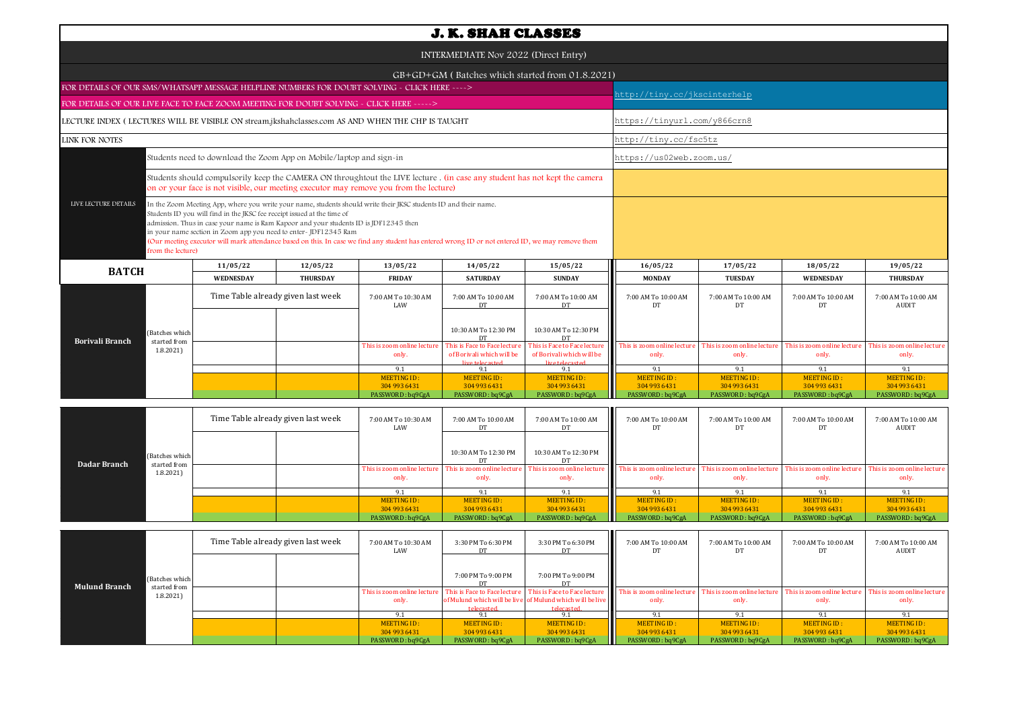| <b>J. K. SHAH CLASSES</b>                                                                         |                                                                                                                                                                                                                                                                                                                                                                                                                                                                                                             |                                                 |                                      |                                                                              |                                                                              |                                     |                                     |                                      |                                      |  |  |
|---------------------------------------------------------------------------------------------------|-------------------------------------------------------------------------------------------------------------------------------------------------------------------------------------------------------------------------------------------------------------------------------------------------------------------------------------------------------------------------------------------------------------------------------------------------------------------------------------------------------------|-------------------------------------------------|--------------------------------------|------------------------------------------------------------------------------|------------------------------------------------------------------------------|-------------------------------------|-------------------------------------|--------------------------------------|--------------------------------------|--|--|
| INTERMEDIATE Nov 2022 (Direct Entry)                                                              |                                                                                                                                                                                                                                                                                                                                                                                                                                                                                                             |                                                 |                                      |                                                                              |                                                                              |                                     |                                     |                                      |                                      |  |  |
|                                                                                                   |                                                                                                                                                                                                                                                                                                                                                                                                                                                                                                             | GB+GD+GM (Batches which started from 01.8.2021) |                                      |                                                                              |                                                                              |                                     |                                     |                                      |                                      |  |  |
| FOR DETAILS OF OUR SMS/WHATSAPP MESSAGE HELPLINE NUMBERS FOR DOUBT SOLVING - CLICK HERE ---->     |                                                                                                                                                                                                                                                                                                                                                                                                                                                                                                             |                                                 |                                      |                                                                              |                                                                              |                                     | http://tiny.cc/jkscinterhelp        |                                      |                                      |  |  |
| FOR DETAILS OF OUR LIVE FACE TO FACE ZOOM MEETING FOR DOUBT SOLVING - CLICK HERE ----->           |                                                                                                                                                                                                                                                                                                                                                                                                                                                                                                             |                                                 |                                      |                                                                              |                                                                              |                                     |                                     |                                      |                                      |  |  |
| LECTURE INDEX (LECTURES WILL BE VISIBLE ON stream.jkshahclasses.com AS AND WHEN THE CHP IS TAUGHT |                                                                                                                                                                                                                                                                                                                                                                                                                                                                                                             |                                                 |                                      |                                                                              |                                                                              |                                     | https://tinyurl.com/y866crn8        |                                      |                                      |  |  |
| <b>LINK FOR NOTES</b>                                                                             |                                                                                                                                                                                                                                                                                                                                                                                                                                                                                                             |                                                 |                                      |                                                                              |                                                                              | http://tiny.cc/fsc5tz               |                                     |                                      |                                      |  |  |
| Students need to download the Zoom App on Mobile/laptop and sign-in                               |                                                                                                                                                                                                                                                                                                                                                                                                                                                                                                             |                                                 |                                      |                                                                              |                                                                              |                                     | https://us02web.zoom.us/            |                                      |                                      |  |  |
|                                                                                                   | Students should compulsorily keep the CAMERA ON throughtout the LIVE lecture . (in case any student has not kept the camera<br>on or your face is not visible, our meeting executor may remove you from the lecture)                                                                                                                                                                                                                                                                                        |                                                 |                                      |                                                                              |                                                                              |                                     |                                     |                                      |                                      |  |  |
| LIVE LECTURE DETAILS<br>from the lecture)                                                         | In the Zoom Meeting App, where you write your name, students should write their JKSC students ID and their name.<br>Students ID you will find in the JKSC fee receipt issued at the time of<br>admission. Thus in case your name is Ram Kapoor and your students ID is JDF12345 then<br>in your name section in Zoom app you need to enter-JDF12345 Ram<br>(Our meeting executor will mark attendance based on this. In case we find any student has entered wrong ID or not entered ID, we may remove them |                                                 |                                      |                                                                              |                                                                              |                                     |                                     |                                      |                                      |  |  |
| <b>BATCH</b>                                                                                      | 11/05/22                                                                                                                                                                                                                                                                                                                                                                                                                                                                                                    | 12/05/22                                        | 13/05/22                             | 14/05/22                                                                     | 15/05/22                                                                     | 16/05/22                            | 17/05/22                            | 18/05/22                             | 19/05/22                             |  |  |
|                                                                                                   | <b>WEDNESDAY</b>                                                                                                                                                                                                                                                                                                                                                                                                                                                                                            | <b>THURSDAY</b>                                 | <b>FRIDAY</b>                        | <b>SATURDAY</b>                                                              | <b>SUNDAY</b>                                                                | <b>MONDAY</b>                       | <b>TUESDAY</b>                      | WEDNESDAY                            | <b>THURSDAY</b>                      |  |  |
|                                                                                                   | Time Table already given last week                                                                                                                                                                                                                                                                                                                                                                                                                                                                          |                                                 | 7:00 AM To 10:30 AM<br>LAW           | 7:00 AM To 10:00 AM<br>DT                                                    | 7:00 AM To 10:00 AM<br><b>DT</b>                                             | 7:00 AM To 10:00 AM<br>DT           | 7:00 AM To 10:00 AM<br>DT           | 7:00 AM To 10:00 AM<br>DT            | 7:00 AM To 10:00 AM<br><b>AUDIT</b>  |  |  |
| (Batches which<br><b>Borivali Branch</b><br>started from                                          |                                                                                                                                                                                                                                                                                                                                                                                                                                                                                                             |                                                 |                                      | 10:30 AM To 12:30 PM<br>D <sub>1</sub>                                       | 10:30 AM To 12:30 PM                                                         |                                     |                                     |                                      |                                      |  |  |
| 1.8.2021                                                                                          |                                                                                                                                                                                                                                                                                                                                                                                                                                                                                                             |                                                 | This is zoom online lecture<br>only. | This is Face to Face lecture<br>of Borivali which will be<br>live telecasted | This is Face to Face lecture<br>of Borivali which will be<br>live telecasted | This is zoom online lectur<br>only. | This is zoom online lectur<br>only. | This is zoom online lecture<br>only. | This is zoom online lecture<br>only. |  |  |
|                                                                                                   |                                                                                                                                                                                                                                                                                                                                                                                                                                                                                                             |                                                 | 9.1                                  | 9.1                                                                          | 9.1                                                                          | 9.1                                 | 9.1                                 | 9.1                                  | 9.1                                  |  |  |
|                                                                                                   |                                                                                                                                                                                                                                                                                                                                                                                                                                                                                                             |                                                 | MEETING ID:                          | <b>MEETING ID:</b>                                                           | MEETING ID:                                                                  | <b>MEETING ID:</b>                  | <b>MEETING ID:</b>                  | <b>MEETING ID:</b>                   | <b>MEETING ID:</b>                   |  |  |
|                                                                                                   |                                                                                                                                                                                                                                                                                                                                                                                                                                                                                                             |                                                 | 304 993 6431<br>PASSWORD: bq9CgA     | 304 993 6431<br>PASSWORD: bq9CgA                                             | 304 993 6431<br>PASSWORD: bq9CgA                                             | 304 993 6431<br>PASSWORD: bq9CgA    | 304 993 6431<br>PASSWORD: bq9CgA    | 304 993 6431<br>PASSWORD: bq9CgA     | 304 993 6431<br>PASSWORD: bq9CgA     |  |  |
|                                                                                                   |                                                                                                                                                                                                                                                                                                                                                                                                                                                                                                             |                                                 |                                      |                                                                              |                                                                              |                                     |                                     |                                      |                                      |  |  |

| Dadar Branch | (Batches which<br>started from<br>1.8.2021 | Time Table already given last week |  | 7:00 AM To 10:30 AM<br>LAW | 7:00 AM To 10:00 AM  | 7:00 AM To 10:00 AM<br>DT | 7:00 AM To 10:00 AM<br>DT.                                                                                                                                                                                                              | 7:00 AM To 10:00 AM | 7:00 AM To 10:00 AM | 7:00 AM To 10:00 AM<br><b>AUDIT</b>  |
|--------------|--------------------------------------------|------------------------------------|--|----------------------------|----------------------|---------------------------|-----------------------------------------------------------------------------------------------------------------------------------------------------------------------------------------------------------------------------------------|---------------------|---------------------|--------------------------------------|
|              |                                            |                                    |  |                            | 10:30 AM To 12:30 PM | 10:30 AM To 12:30 PM      |                                                                                                                                                                                                                                         |                     |                     |                                      |
|              |                                            |                                    |  | only.                      | only.                | only.                     | This is zoom online lecture   This is zoom online lecture   This is zoom online lecture   This is zoom online lecture   This is zoom online lecture   This is zoom online lecture   This is zoom online lecture   This is zoom<br>only. | only.               | only.               | This is zoom online lecture<br>only. |
|              |                                            |                                    |  |                            |                      | 9.1                       |                                                                                                                                                                                                                                         |                     |                     |                                      |
|              |                                            |                                    |  | MEETING ID:                | MEETING ID:          | MEETING ID:               | MEETING ID:                                                                                                                                                                                                                             | MEETING ID:         | MEETING ID:         | MEETING ID:                          |
|              |                                            |                                    |  | 304 993 6431               | 304 993 6431         | 304 993 6431              | 304 993 6431                                                                                                                                                                                                                            | 304 993 6431        | 304 993 6431        | 304 993 6431                         |
|              |                                            |                                    |  | PASSWORD: bq9CgA           | PASSWORD: bq9CgA     | PASSWORD: bq9CgA          | PASSWORD: bq9CgA                                                                                                                                                                                                                        | PASSWORD: bq9CgA    | PASSWORD: bq9CgA    | PASSWORD: bq9CgA                     |

|                      |                          | Time Table already given last week |  | 7:00 AM To 10:30 AM<br>LAW           | 3:30 PM To 6:30 PM                         | 3:30 PM To 6:30 PM                                                      | Ш<br>7:00 AM To 10:00 AM                                          | 7:00 AM To 10:00 AM                  | 7:00 AM To 10:00 AM<br>DT            | 7:00 AM To 10:00 AM<br>AUDIT         |
|----------------------|--------------------------|------------------------------------|--|--------------------------------------|--------------------------------------------|-------------------------------------------------------------------------|-------------------------------------------------------------------|--------------------------------------|--------------------------------------|--------------------------------------|
| <b>Mulund Branch</b> | (Batches which           |                                    |  |                                      | 7:00 PM To 9:00 PM                         | 7:00 PM To 9:00 PM                                                      |                                                                   |                                      |                                      |                                      |
|                      | started from<br>1.8.2021 |                                    |  | This is zoom online lecture<br>only. | This is Face to Face lecture<br>telecasted | of Mulund which will be live of Mulund which will be live<br>telecasted | This is Face to Face lecture This is zoom online lecture<br>only. | This is zoom online lecture<br>only. | This is zoom online lecture<br>only. | This is zoom online lecture<br>only. |
|                      |                          |                                    |  | $Q_1$                                |                                            |                                                                         |                                                                   |                                      |                                      |                                      |
|                      |                          |                                    |  | MEETING ID:                          | MEETING ID:                                | MEETING ID:                                                             | <b>MEETING ID:</b>                                                | MEETING ID:                          | MEETING ID:                          | MEETING ID:                          |
|                      |                          |                                    |  | 304 993 6431                         | 304 993 6431                               | 304 993 6431                                                            | 304 993 6431                                                      | 304 993 6431                         | 304 993 6431                         | 304 993 6431                         |
|                      |                          |                                    |  | PASSWORD: bq9CgA                     | PASSWORD: bq9CgA                           | PASSWORD: bq9CgA                                                        | PASSWORD: bq9CgA                                                  | PASSWORD: bq9CgA                     | PASSWORD: bq9CgA                     | PASSWORD: bq9CgA                     |